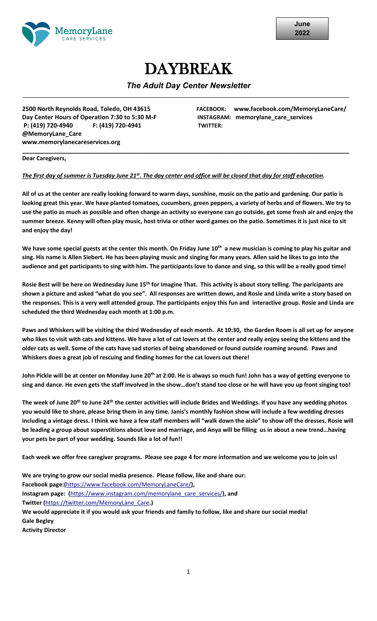

# DAYBREAK

### *The Adult Day Center Newsletter*

**Day Center Hours of Operation 7:30 to 5:30 M-F INSTAGRAM: memorylane\_care\_services P: (419) 720-4940 F: (419) 720-4941 TWITTER: @MemoryLane\_Care www.memorylanecareservices.org** 

**2500 North Reynolds Road, Toledo, OH 43615 FACEBOOK: www.facebook.com/MemoryLaneCare/** 

#### **Dear Caregivers,**

### *The first day of summer is Tuesday June 21st. The day center and office will be closed that day for staff education.*

**All of us at the center are really looking forward to warm days, sunshine, music on the patio and gardening. Our patio is looking great this year. We have planted tomatoes, cucumbers, green peppers, a variety of herbs and of flowers. We try to use the patio as much as possible and often change an activity so everyone can go outside, get some fresh air and enjoy the summer breeze. Kenny will often play music, host trivia or other word games on the patio. Sometimes it is just nice to sit and enjoy the day!**

**\_\_\_\_\_\_\_\_\_\_\_\_\_\_\_\_\_\_\_\_\_\_\_\_\_\_\_\_\_\_\_\_\_\_\_\_\_\_\_\_\_\_\_\_\_\_\_\_\_\_\_\_\_\_\_\_\_\_\_\_\_\_\_\_\_\_\_\_\_\_\_\_\_\_\_\_\_\_\_\_\_\_\_\_\_\_\_\_\_\_\_\_\_\_\_\_\_** 

We have some special guests at the center this month. On Friday June 10<sup>th</sup> a new musician is coming to play his guitar and **sing. His name is Allen Siebert. He has been playing music and singing for many years. Allen said he likes to go into the audience and get participants to sing with him. The participants love to dance and sing, so this will be a really good time!**

**Rosie Best will be here on Wednesday June 15th for Imagine That. This activity is about story telling. The paricipants are shown a picture and asked "what do you see". All responses are written down, and Rosie and Linda write a story based on the responses. This is a very well attended group. The participants enjoy this fun and interactive group. Rosie and Linda are scheduled the third Wednesday each month at 1:00 p.m.** 

**Paws and Whiskers will be visiting the third Wednesday of each month. At 10:30, the Garden Room is all set up for anyone who likes to visit with cats and kittens. We have a lot of cat lovers at the center and really enjoy seeing the kittens and the older cats as well. Some of the cats have sad stories of being abandoned or found outside roaming around. Paws and Whiskers does a great job of rescuing and finding homes for the cat lovers out there!** 

John Pickle will be at center on Monday June 20<sup>th</sup> at 2:00. He is always so much fun! John has a way of getting everyone to **sing and dance. He even gets the staff involved in the show…don't stand too close or he will have you up front singing too!** 

**The week of June 20th to June 24th the center activities will include Brides and Weddings. If you have any wedding photos you would like to share, please bring them in any time. Janis's monthly fashion show will include a few wedding dresses including a vintage dress. I think we have a few staff members will "walk down the aisle" to show off the dresses. Rosie will be leading a group about superstitions about love and marriage, and Anya will be filling us in about a new trend…having your pets be part of your wedding. Sounds like a lot of fun!!**

**Each week we offer free caregiver programs. Please see page 4 for more information and we welcome you to join us!**

**We are trying to grow our social media presence. Please follow, like and share our: Facebook page:(**<https://www.facebook.com/MemoryLaneCare/>**), Instagram page: (**[https://www.instagram.com/memorylane\\_care\\_services/](https://www.instagram.com/memorylane_care_services/)**), and Twitter (**[https://twitter.com/MemoryLane\\_Care](https://twitter.com/MemoryLane_Care)**.) We would appreciate it if you would ask your friends and family to follow, like and share our social media! Gale Begley Activity Director**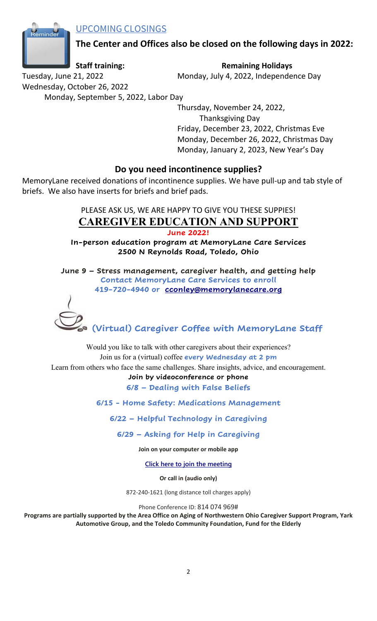UPCOMING CLOSINGS



**The Center and Offices also be closed on the following days in 2022:**

**Staff training: Remaining Holidays** 

Tuesday, June 21, 2022 Monday, July 4, 2022, Independence Day

Wednesday, October 26, 2022 Monday, September 5, 2022, Labor Day

Thursday, November 24, 2022, Thanksgiving Day Friday, December 23, 2022, Christmas Eve Monday, December 26, 2022, Christmas Day Monday, January 2, 2023, New Year's Day

### **Do you need incontinence supplies?**

MemoryLane received donations of incontinence supplies. We have pull-up and tab style of briefs. We also have inserts for briefs and brief pads.

## PLEASE ASK US, WE ARE HAPPY TO GIVE YOU THESE SUPPIES! **CAREGIVER EDUCATION AND SUPPORT**

**June 2022!**

**In-person education program at MemoryLane Care Services 2500 N Reynolds Road, Toledo, Ohio**

**June 9 – Stress management, caregiver health, and getting help Contact MemoryLane Care Services to enroll 419-720-4940 or [cconley@memorylanecare.org](mailto:cconley@memorylanecare.org)**



**(Virtual) Caregiver Coffee with MemoryLane Staff**

Would you like to talk with other caregivers about their experiences? Join us for a (virtual) coffee **every Wednesday at 2 pm**

Learn from others who face the same challenges. Share insights, advice, and encouragement.

### **Join by videoconference or phone**

**6/8 – Dealing with False Beliefs**

**6/15 - Home Safety: Medications Management**

**6/22 – Helpful Technology in Caregiving**

**6/29 – Asking for Help in Caregiving**

**Join on your computer or mobile app**

**[Click here to join the meeting](https://teams.microsoft.com/l/meetup-join/19%3ameeting_NmM3M2ZjYjUtMWFmZS00NTM3LTlmN2YtZDc1YzUzZjM4ZjU0%40thread.v2/0?context=%7b%22Tid%22%3a%224dbee0c8-e13e-4fbe-9288-5ea84a3637f8%22%2c%22Oid%22%3a%22206079f2-afdb-453f-8762-e00a819e5af3%22%7d)**

**Or call in (audio only)**

872-240-1621 (long distance toll charges apply)

Phone Conference ID: 814 074 969#

Programs are partially supported by the Area Office on Aging of Northwestern Ohio Caregiver Support Program, Yark **Automotive Group, and the Toledo Community Foundation, Fund for the Elderly**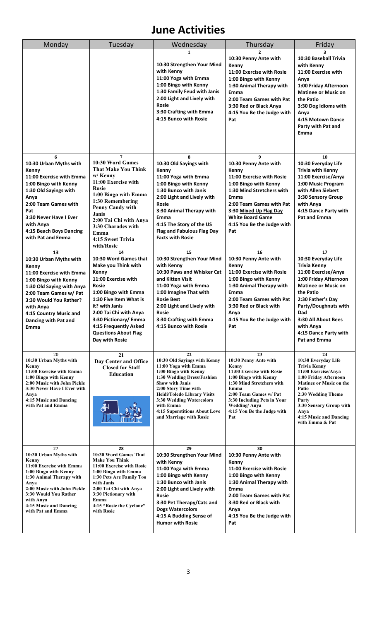## **June Activities**

| Monday                                                                                                                                                                                                                                             | Tuesday                                                                                                                                                                                                                                                                                             | Wednesday                                                                                                                                                                                                                                                                                                             | Thursday                                                                                                                                                                                                                                             | Friday                                                                                                                                                                                                                                                                       |
|----------------------------------------------------------------------------------------------------------------------------------------------------------------------------------------------------------------------------------------------------|-----------------------------------------------------------------------------------------------------------------------------------------------------------------------------------------------------------------------------------------------------------------------------------------------------|-----------------------------------------------------------------------------------------------------------------------------------------------------------------------------------------------------------------------------------------------------------------------------------------------------------------------|------------------------------------------------------------------------------------------------------------------------------------------------------------------------------------------------------------------------------------------------------|------------------------------------------------------------------------------------------------------------------------------------------------------------------------------------------------------------------------------------------------------------------------------|
|                                                                                                                                                                                                                                                    |                                                                                                                                                                                                                                                                                                     | 1<br>10:30 Strengthen Your Mind<br>with Kenny<br>11:00 Yoga with Emma<br>1:00 Bingo with Kenny<br>1:30 Family Feud with Janis<br>2:00 Light and Lively with<br>Rosie<br>3:30 Crafting with Emma<br>4:15 Bunco with Rosie                                                                                              | 10:30 Penny Ante with<br>Kenny<br>11:00 Exercise with Rosie<br>1:00 Bingo with Kenny<br>1:30 Animal Therapy with<br>Emma<br>2:00 Team Games with Pat<br>3:30 Red or Black Anya<br>4:15 You Be the Judge with<br>Pat                                  | 3<br>10:30 Baseball Trivia<br>with Kenny<br>11:00 Exercise with<br>Anya<br>1:00 Friday Afternoon<br><b>Matinee or Music on</b><br>the Patio<br>3:30 Dog Idioms with<br>Anya<br>4:15 Motown Dance<br>Party with Pat and<br>Emma                                               |
| 6<br>10:30 Urban Myths with<br>Kenny<br>11:00 Exercise with Emma<br>1:00 Bingo with Kenny<br>1:30 Old Sayings with<br>Anya<br>2:00 Team Games with<br>Pat<br>3:30 Never Have I Ever<br>with Anya<br>4:15 Beach Boys Dancing<br>with Pat and Emma   | $\overline{7}$<br>10:30 Word Games<br><b>That Make You Think</b><br>w/ Kenny<br>11:00 Exercise with<br><b>Rosie</b><br>1:00 Bingo with Emma<br>1:30 Remembering<br><b>Penny Candy with</b><br>Janis<br>2:00 Tai Chi with Anya<br>3:30 Charades with<br>Emma<br>4:15 Sweet Trivia<br>with/Rosie      | 8<br>10:30 Old Sayings with<br>Kenny<br>11:00 Yoga with Emma<br>1:00 Bingo with Kenny<br>1:30 Bunco with Janis<br>2:00 Light and Lively with<br><b>Rosie</b><br>3:30 Animal Therapy with<br>Emma<br>4:15 The Story of the US<br>Flag and Fabulous Flag Day<br><b>Facts with Rosie</b>                                 | 9<br>10:30 Penny Ante with<br>Kenny<br>11:00 Exercise with Rosie<br>1:00 Bingo with Kenny<br>1:30 Mind Stretchers with<br>Emma<br>2:00 Team Games with Pat<br>3:30 Mixed Up Flag Day<br><b>White Board Game</b><br>4:15 You Be the Judge with<br>Pat | 10<br>10:30 Everyday Life<br><b>Trivia with Kenny</b><br>11:00 Exercise/Anya<br>1:00 Music Program<br>with Allen Siebert<br>3:30 Sensory Group<br>with Anya<br>4:15 Dance Party with<br><b>Pat and Emma</b>                                                                  |
| 13<br>10:30 Urban Myths with<br>Kenny<br>11:00 Exercise with Emma<br>1:00 Bingo with Kenny<br>1:30 Old Saying with Anya<br>2:00 Team Games w/ Pat<br>3:30 Would You Rather?<br>with Anya<br>4:15 Country Music and<br>Dancing with Pat and<br>Emma | 14<br>10:30 Word Games that<br>Make you Think with<br>Kenny<br>11:00 Exercise with<br><b>Rosie</b><br>1:00 Bingo with Emma<br>1:30 Five Item What is<br>it? with Janis<br>2:00 Tai Chi with Anya<br>3:30 Pictionary/ Emma<br>4:15 Frequently Asked<br><b>Questions About Flag</b><br>Day with Rosie | 15<br>10:30 Strengthen Your Mind<br>with Kenny<br>10:30 Paws and Whisker Cat<br>and Kitten Visit<br>11:00 Yoga with Emma<br>1:00 Imagine That with<br><b>Rosie Best</b><br>2:00 Light and Lively with<br>Rosie<br>3:30 Crafting with Emma<br>4:15 Bunco with Rosie                                                    | 16<br>10:30 Penny Ante with<br>Kenny<br>11:00 Exercise with Rosie<br>1:00 Bingo with Kenny<br>1:30 Animal Therapy with<br>Emma<br>2:00 Team Games with Pat<br>3:30 Red or Black with<br>Anya<br>4:15 You Be the Judge with<br>Pat                    | 17<br>10:30 Everyday Life<br><b>Trivia Kenny</b><br>11:00 Exercise/Anya<br>1:00 Friday Afternoon<br><b>Matinee or Music on</b><br>the Patio<br>2:30 Father's Day<br>Party/Doughnuts with<br>Dad<br>3:30 All About Bees<br>with Anya<br>4:15 Dance Party with<br>Pat and Emma |
| 20<br>10:30 Urban Myths with<br>Kenny<br>11:00 Exercise with Emma<br>1:00 Bingo with Kenny<br>2:00 Music with John Pickle<br>3:30 Never Have I Ever with<br>Anya<br>4:15 Music and Dancing<br>with Pat and Emma                                    | 21<br>Day Center and Office<br><b>Closed for Staff</b><br><b>Education</b>                                                                                                                                                                                                                          | 22<br>10:30 Old Savings with Kenny<br>11:00 Yoga with Emma<br>1:00 Bingo with Kenny<br>1:30 Wedding Dress/Fashion<br><b>Show with Janis</b><br>2:00 Story Time with<br><b>Heidi/Toledo Library Visits</b><br>3:30 Wedding Watercolors<br>with Emma<br><b>4:15 Superstitions About Love</b><br>and Marriage with Rosie | 23<br>10:30 Penny Ante with<br>Kenny<br>11:00 Exercise with Rosie<br>1:00 Bingo with Kenny<br>1:30 Mind Stretchers with<br>Emma<br>2:00 Team Games w/ Pat<br>3:30 Including Pets in Your<br><b>Wedding/Anya</b><br>4:15 You Be the Judge with<br>Pat | 24<br>10:30 Everyday Life<br><b>Trivia Kenny</b><br>11:00 Exercise/Anya<br>1:00 Friday Afternoon<br>Matinee or Music on the<br>Patio<br>2:30 Wedding Theme<br>Party<br>3:30 Sensory Group with<br>Anya<br>4:15 Music and Dancing<br>with Emma & Pat                          |
| 27<br>10:30 Urban Myths with<br>Kenny<br>11:00 Exercise with Emma<br>1:00 Bingo with Kenny<br>1:30 Animal Therapy with<br>Anya<br>2:00 Music with John Pickle<br>3:30 Would You Rather<br>with Anya<br>4:15 Music and Dancing<br>with Pat and Emma | 28<br>10:30 Word Games That<br><b>Make You Think</b><br>11:00 Exercise with Rosie<br>1:00 Bingo with Emma<br>1:30 Pets Are Family Too<br>with Janis<br>2;00 Tai Chi with Anya<br>3:30 Pictionary with<br>Emma<br>4:15 "Rosie the Cyclone"<br>with Rosie                                             | 29<br>10:30 Strengthen Your Mind<br>with Kenny<br>11:00 Yoga with Emma<br>1:00 Bingo with Kenny<br>1:30 Bunco with Janis<br>2:00 Light and Lively with<br>Rosie<br>3:30 Pet Therapy/Cats and<br><b>Dogs Watercolors</b><br>4:15 A Budding Sense of<br><b>Humor with Rosie</b>                                         | 30<br>10:30 Penny Ante with<br>Kenny<br>11:00 Exercise with Rosie<br>1:00 Bingo with Kenny<br>1:30 Animal Therapy with<br>Emma<br>2:00 Team Games with Pat<br>3:30 Red or Black with<br>Anya<br>4:15 You Be the Judge with<br>Pat                    |                                                                                                                                                                                                                                                                              |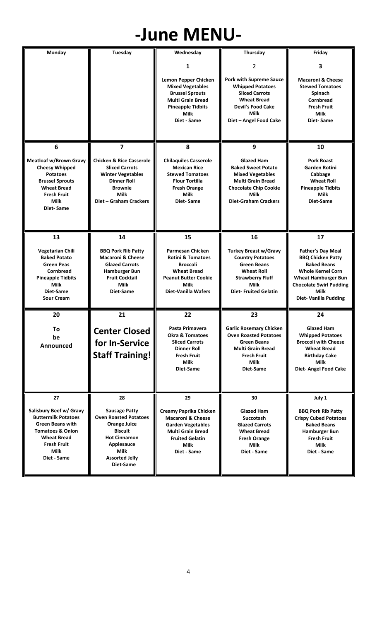# **-June MENU-**

| Monday                                                                                                                                                                             | Tuesday                                                                                                                                                                          | Wednesday                                                                                                                                                              | Thursday                                                                                                                                                                     | Friday                                                                                                                                                                                                        |
|------------------------------------------------------------------------------------------------------------------------------------------------------------------------------------|----------------------------------------------------------------------------------------------------------------------------------------------------------------------------------|------------------------------------------------------------------------------------------------------------------------------------------------------------------------|------------------------------------------------------------------------------------------------------------------------------------------------------------------------------|---------------------------------------------------------------------------------------------------------------------------------------------------------------------------------------------------------------|
|                                                                                                                                                                                    |                                                                                                                                                                                  | 1                                                                                                                                                                      | 2                                                                                                                                                                            | 3                                                                                                                                                                                                             |
|                                                                                                                                                                                    |                                                                                                                                                                                  | <b>Lemon Pepper Chicken</b><br><b>Mixed Vegetables</b><br><b>Brussel Sprouts</b><br><b>Multi Grain Bread</b><br><b>Pineapple Tidbits</b><br>Milk<br>Diet - Same        | <b>Pork with Supreme Sauce</b><br><b>Whipped Potatoes</b><br><b>Sliced Carrots</b><br><b>Wheat Bread</b><br><b>Devil's Food Cake</b><br>Milk<br>Diet - Angel Food Cake       | <b>Macaroni &amp; Cheese</b><br><b>Stewed Tomatoes</b><br>Spinach<br><b>Cornbread</b><br><b>Fresh Fruit</b><br>Milk<br>Diet-Same                                                                              |
| 6                                                                                                                                                                                  | 7                                                                                                                                                                                | 8                                                                                                                                                                      | 9                                                                                                                                                                            | 10                                                                                                                                                                                                            |
| <b>Meatloaf w/Brown Gravy</b><br><b>Cheesy Whipped</b><br><b>Potatoes</b><br><b>Brussel Sprouts</b><br><b>Wheat Bread</b><br><b>Fresh Fruit</b><br>Milk<br>Diet-Same               | <b>Chicken &amp; Rice Casserole</b><br><b>Sliced Carrots</b><br><b>Winter Vegetables</b><br><b>Dinner Roll</b><br><b>Brownie</b><br>Milk<br>Diet - Graham Crackers               | <b>Chilaquiles Casserole</b><br><b>Mexican Rice</b><br><b>Stewed Tomatoes</b><br><b>Flour Tortilla</b><br><b>Fresh Orange</b><br>Milk<br>Diet-Same                     | <b>Glazed Ham</b><br><b>Baked Sweet Potato</b><br><b>Mixed Vegetables</b><br><b>Multi Grain Bread</b><br><b>Chocolate Chip Cookie</b><br>Milk<br><b>Diet-Graham Crackers</b> | <b>Pork Roast</b><br>Garden Rotini<br>Cabbage<br><b>Wheat Roll</b><br><b>Pineapple Tidbits</b><br>Milk<br>Diet-Same                                                                                           |
| 13                                                                                                                                                                                 | 14                                                                                                                                                                               | 15                                                                                                                                                                     | 16                                                                                                                                                                           | 17                                                                                                                                                                                                            |
| Vegetarian Chili<br><b>Baked Potato</b><br><b>Green Peas</b><br><b>Cornbread</b><br><b>Pineapple Tidbits</b><br>Milk<br>Diet-Same<br><b>Sour Cream</b>                             | <b>BBQ Pork Rib Patty</b><br><b>Macaroni &amp; Cheese</b><br><b>Glazed Carrots</b><br>Hamburger Bun<br><b>Fruit Cocktail</b><br>Milk<br>Diet-Same                                | <b>Parmesan Chicken</b><br><b>Rotini &amp; Tomatoes</b><br><b>Broccoli</b><br><b>Wheat Bread</b><br><b>Peanut Butter Cookie</b><br>Milk<br><b>Diet-Vanilla Wafers</b>  | <b>Turkey Breast w/Gravy</b><br><b>Country Potatoes</b><br><b>Green Beans</b><br><b>Wheat Roll</b><br><b>Strawberry Fluff</b><br>Milk<br><b>Diet-Fruited Gelatin</b>         | <b>Father's Day Meal</b><br><b>BBQ Chicken Patty</b><br><b>Baked Beans</b><br><b>Whole Kernel Corn</b><br><b>Wheat Hamburger Bun</b><br><b>Chocolate Swirl Pudding</b><br>Milk<br><b>Diet-Vanilla Pudding</b> |
| 20                                                                                                                                                                                 | 21                                                                                                                                                                               | 22                                                                                                                                                                     | 23                                                                                                                                                                           | 24                                                                                                                                                                                                            |
| To<br>be<br>Announced                                                                                                                                                              | <b>Center Closed</b><br>for In-Service<br><b>Staff Training!</b>                                                                                                                 | Pasta Primavera<br><b>Okra &amp; Tomatoes</b><br><b>Sliced Carrots</b><br><b>Dinner Roll</b><br><b>Fresh Fruit</b><br><b>Milk</b><br>Diet-Same                         | <b>Garlic Rosemary Chicken</b><br><b>Oven Roasted Potatoes</b><br><b>Green Beans</b><br><b>Multi Grain Bread</b><br><b>Fresh Fruit</b><br>Milk<br>Diet-Same                  | <b>Glazed Ham</b><br><b>Whipped Potatoes</b><br><b>Broccoli with Cheese</b><br><b>Wheat Bread</b><br>Birthday Cake<br>Milk<br>Diet- Angel Food Cake                                                           |
| 27                                                                                                                                                                                 | 28                                                                                                                                                                               | 29                                                                                                                                                                     | 30                                                                                                                                                                           | July 1                                                                                                                                                                                                        |
| Salisbury Beef w/ Gravy<br><b>Buttermilk Potatoes</b><br><b>Green Beans with</b><br><b>Tomatoes &amp; Onion</b><br><b>Wheat Bread</b><br><b>Fresh Fruit</b><br>Milk<br>Diet - Same | <b>Sausage Patty</b><br><b>Oven Roasted Potatoes</b><br><b>Orange Juice</b><br><b>Biscuit</b><br><b>Hot Cinnamon</b><br>Applesauce<br>Milk<br><b>Assorted Jelly</b><br>Diet-Same | <b>Creamy Paprika Chicken</b><br><b>Macaroni &amp; Cheese</b><br><b>Garden Vegetables</b><br><b>Multi Grain Bread</b><br><b>Fruited Gelatin</b><br>Milk<br>Diet - Same | <b>Glazed Ham</b><br><b>Succotash</b><br><b>Glazed Carrots</b><br><b>Wheat Bread</b><br><b>Fresh Orange</b><br>Milk<br>Diet - Same                                           | <b>BBQ Pork Rib Patty</b><br><b>Crispy Cubed Potatoes</b><br><b>Baked Beans</b><br>Hamburger Bun<br><b>Fresh Fruit</b><br>Milk<br>Diet - Same                                                                 |